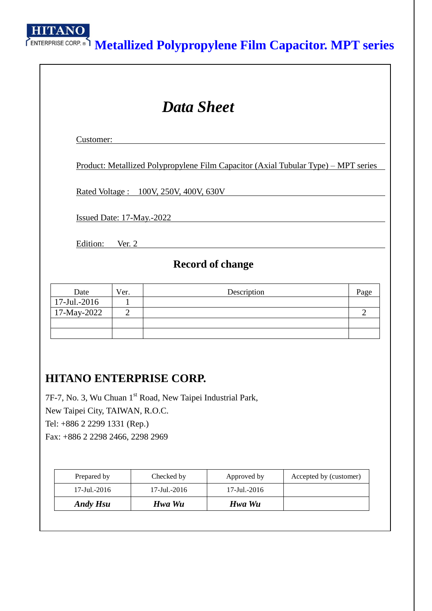

# **Metallized Polypropylene Film Capacitor. MPT series**

| <b>Data Sheet</b>           |                                              |                                                                                            |                |  |  |  |  |
|-----------------------------|----------------------------------------------|--------------------------------------------------------------------------------------------|----------------|--|--|--|--|
| Customer:                   |                                              |                                                                                            |                |  |  |  |  |
|                             |                                              | <u> Product: Metallized Polypropylene Film Capacitor (Axial Tubular Type) – MPT series</u> |                |  |  |  |  |
|                             | <u>Rated Voltage: 100V, 250V, 400V, 630V</u> |                                                                                            |                |  |  |  |  |
|                             | Issued Date: 17-May.-2022                    |                                                                                            |                |  |  |  |  |
|                             | Edition: Ver. 2                              |                                                                                            |                |  |  |  |  |
|                             |                                              | <b>Record of change</b>                                                                    |                |  |  |  |  |
|                             |                                              |                                                                                            |                |  |  |  |  |
| Date                        | Ver.                                         | Description                                                                                | Page           |  |  |  |  |
| 17-Jul.-2016<br>17-May-2022 | $\mathbf{1}$<br>$\overline{2}$               |                                                                                            | $\overline{2}$ |  |  |  |  |

## **HITANO ENTERPRISE CORP.**

7F-7, No. 3, Wu Chuan 1st Road, New Taipei Industrial Park, New Taipei City, TAIWAN, R.O.C. Tel: +886 2 2299 1331 (Rep.) Fax: +886 2 2298 2466, 2298 2969

| Prepared by     | Checked by   | Approved by  | Accepted by (customer) |
|-----------------|--------------|--------------|------------------------|
| 17-Jul.-2016    | 17-Jul.-2016 | 17-Jul.-2016 |                        |
| <b>Andy Hsu</b> | Hwa Wu       | Hwa Wu       |                        |